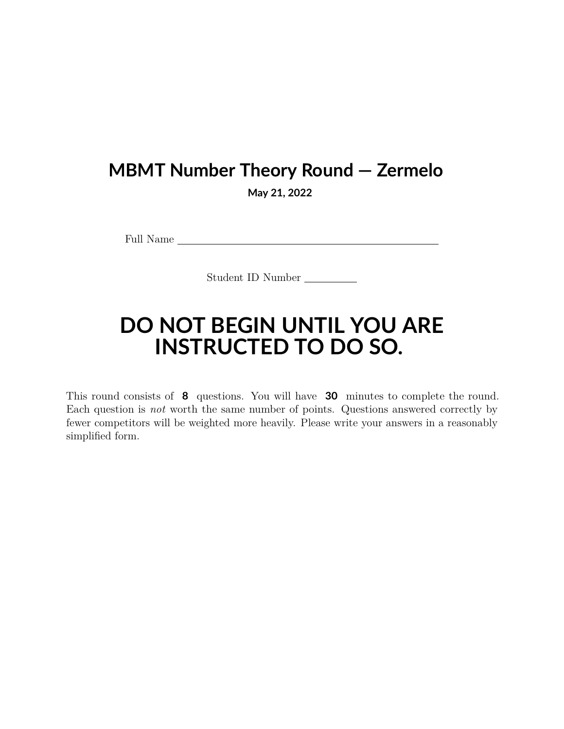## **MBMT Number Theory Round — Zermelo**

**May 21, 2022**

Full Name

Student ID Number

## **DO NOT BEGIN UNTIL YOU ARE INSTRUCTED TO DO SO.**

This round consists of **8** questions. You will have **30** minutes to complete the round. Each question is *not* worth the same number of points. Questions answered correctly by fewer competitors will be weighted more heavily. Please write your answers in a reasonably simplified form.